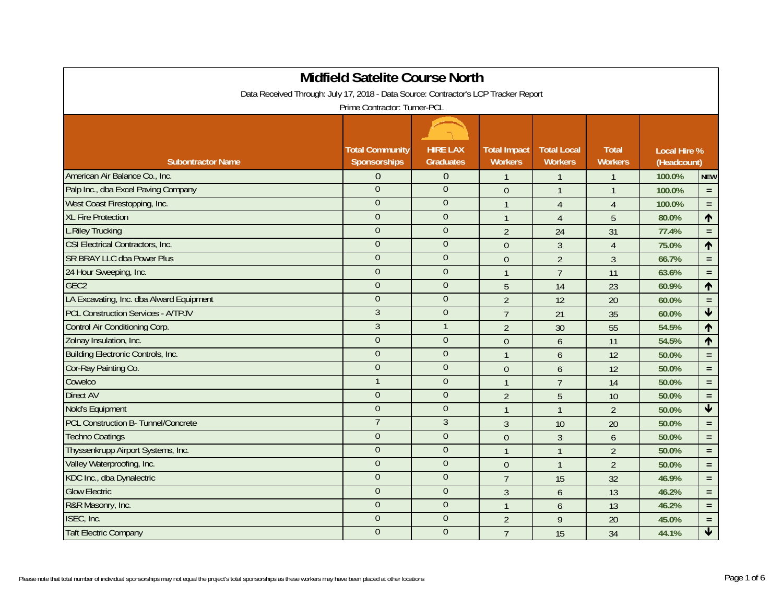|                                                                                     | <b>Midfield Satelite Course North</b>         |                                     |                                       |                                      |                                |                                    |                         |  |  |
|-------------------------------------------------------------------------------------|-----------------------------------------------|-------------------------------------|---------------------------------------|--------------------------------------|--------------------------------|------------------------------------|-------------------------|--|--|
| Data Received Through: July 17, 2018 - Data Source: Contractor's LCP Tracker Report |                                               |                                     |                                       |                                      |                                |                                    |                         |  |  |
| Prime Contractor: Turner-PCL                                                        |                                               |                                     |                                       |                                      |                                |                                    |                         |  |  |
|                                                                                     |                                               |                                     |                                       |                                      |                                |                                    |                         |  |  |
| <b>Subontractor Name</b>                                                            | <b>Total Community</b><br><b>Sponsorships</b> | <b>HIRE LAX</b><br><b>Graduates</b> | <b>Total Impact</b><br><b>Workers</b> | <b>Total Local</b><br><b>Workers</b> | <b>Total</b><br><b>Workers</b> | <b>Local Hire %</b><br>(Headcount) |                         |  |  |
| American Air Balance Co., Inc.                                                      | $\overline{0}$                                | $\theta$                            | $\mathbf{1}$                          | $\mathbf{1}$                         | $\overline{1}$                 | 100.0%                             | <b>NEW</b>              |  |  |
| Palp Inc., dba Excel Paving Company                                                 | $\overline{0}$                                | $\theta$                            | $\theta$                              | $\overline{1}$                       | $\mathbf{1}$                   | 100.0%                             | $\equiv$                |  |  |
| West Coast Firestopping, Inc.                                                       | $\overline{0}$                                | $\theta$                            | $\mathbf{1}$                          | $\overline{4}$                       | $\overline{4}$                 | 100.0%                             | $\equiv$                |  |  |
| <b>XL Fire Protection</b>                                                           | $\overline{0}$                                | $\theta$                            | $\mathbf{1}$                          | $\overline{4}$                       | 5                              | 80.0%                              | $\hat{\mathbf{T}}$      |  |  |
| <b>L.Riley Trucking</b>                                                             | $\overline{0}$                                | $\overline{0}$                      | $\overline{2}$                        | 24                                   | 31                             | 77.4%                              | $\equiv$                |  |  |
| CSI Electrical Contractors, Inc.                                                    | $\overline{0}$                                | $\Omega$                            | $\theta$                              | $\mathfrak{Z}$                       | $\overline{4}$                 | 75.0%                              | $\uparrow$              |  |  |
| <b>SR BRAY LLC dba Power Plus</b>                                                   | $\overline{0}$                                | $\overline{0}$                      | $\theta$                              | $\overline{2}$                       | $\mathfrak{Z}$                 | 66.7%                              | $\equiv$                |  |  |
| 24 Hour Sweeping, Inc.                                                              | $\overline{0}$                                | $\theta$                            | $\mathbf{1}$                          | $\overline{7}$                       | 11                             | 63.6%                              | $\equiv$                |  |  |
| GEC <sub>2</sub>                                                                    | $\overline{0}$                                | $\theta$                            | 5                                     | 14                                   | 23                             | 60.9%                              | $\uparrow$              |  |  |
| LA Excavating, Inc. dba Alward Equipment                                            | $\overline{0}$                                | $\overline{0}$                      | $\overline{2}$                        | 12                                   | 20                             | 60.0%                              | $\equiv$                |  |  |
| <b>PCL Construction Services - A/TPJV</b>                                           | $\overline{3}$                                | $\theta$                            | $\overline{7}$                        | 21                                   | 35                             | 60.0%                              | $\overline{\mathbf{V}}$ |  |  |
| Control Air Conditioning Corp.                                                      | $\overline{3}$                                |                                     | $\overline{2}$                        | 30                                   | 55                             | 54.5%                              | ↑                       |  |  |
| Zolnay Insulation, Inc.                                                             | $\overline{0}$                                | $\overline{0}$                      | $\theta$                              | $\overline{6}$                       | 11                             | 54.5%                              | ↑                       |  |  |
| Building Electronic Controls, Inc.                                                  | $\overline{0}$                                | $\theta$                            | $\mathbf{1}$                          | $\overline{6}$                       | 12                             | 50.0%                              | $\equiv$                |  |  |
| Cor-Ray Painting Co.                                                                | $\overline{0}$                                | $\theta$                            | $\theta$                              | 6                                    | 12                             | 50.0%                              | $\equiv$                |  |  |
| Cowelco                                                                             | $\mathbf{1}$                                  | $\theta$                            | $\mathbf{1}$                          | $\overline{7}$                       | 14                             | 50.0%                              | $\equiv$                |  |  |
| <b>Direct AV</b>                                                                    | $\Omega$                                      | $\theta$                            | $\overline{2}$                        | 5                                    | 10                             | 50.0%                              | $\equiv$                |  |  |
| Nold's Equipment                                                                    | $\theta$                                      | $\mathbf{0}$                        | $\mathbf{1}$                          | $\mathbf{1}$                         | $\overline{2}$                 | 50.0%                              | $\blacklozenge$         |  |  |
| PCL Construction B- Tunnel/Concrete                                                 | $\overline{7}$                                | $\overline{3}$                      | $\overline{3}$                        | 10                                   | 20                             | 50.0%                              | $\equiv$                |  |  |
| <b>Techno Coatings</b>                                                              | $\overline{0}$                                | $\overline{0}$                      | $\theta$                              | $\mathfrak{Z}$                       | 6                              | 50.0%                              | $\equiv$                |  |  |
| Thyssenkrupp Airport Systems, Inc.                                                  | $\overline{0}$                                | $\boldsymbol{0}$                    | $\mathbf{1}$                          | $\mathbf{1}$                         | $\overline{2}$                 | 50.0%                              | $\equiv$                |  |  |
| Valley Waterproofing, Inc.                                                          | $\overline{0}$                                | $\overline{0}$                      | $\overline{0}$                        | $\mathbf{1}$                         | $\overline{2}$                 | 50.0%                              | $\equiv$                |  |  |
| KDC Inc., dba Dynalectric                                                           | $\Omega$                                      | $\overline{0}$                      | $\overline{7}$                        | 15                                   | 32                             | 46.9%                              | $\equiv$                |  |  |
| <b>Glow Electric</b>                                                                | $\overline{0}$                                | $\theta$                            | $\overline{3}$                        | 6                                    | 13                             | 46.2%                              | $\equiv$                |  |  |
| R&R Masonry, Inc.                                                                   | $\overline{0}$                                | $\theta$                            | $\mathbf{1}$                          | 6                                    | 13                             | 46.2%                              | $\equiv$                |  |  |
| ISEC, Inc.                                                                          | $\Omega$                                      | $\theta$                            | $\overline{2}$                        | $\overline{9}$                       | 20                             | 45.0%                              | $\equiv$                |  |  |
| <b>Taft Electric Company</b>                                                        | $\overline{0}$                                | $\overline{0}$                      | $\overline{7}$                        | 15                                   | 34                             | 44.1%                              | $\blacklozenge$         |  |  |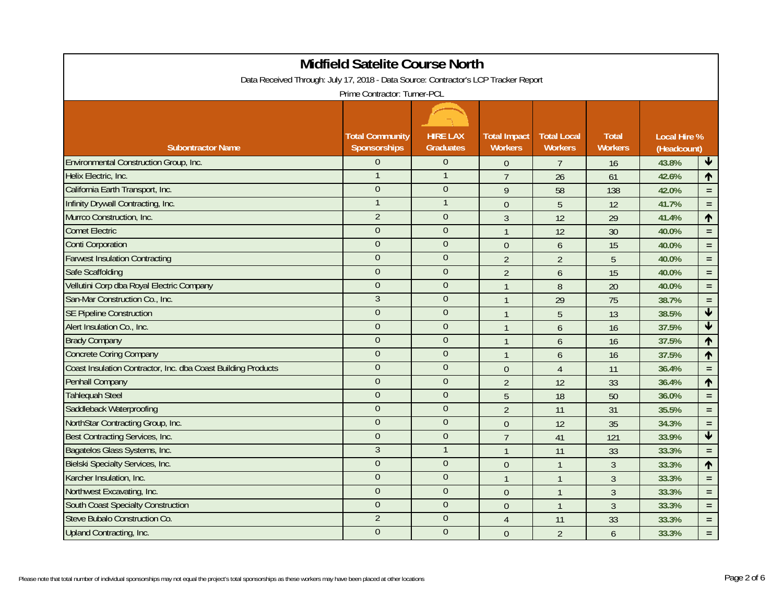| Midfield Satelite Course North                                                      |                                        |                                     |                                       |                                      |                                |                                    |                      |  |  |
|-------------------------------------------------------------------------------------|----------------------------------------|-------------------------------------|---------------------------------------|--------------------------------------|--------------------------------|------------------------------------|----------------------|--|--|
| Data Received Through: July 17, 2018 - Data Source: Contractor's LCP Tracker Report |                                        |                                     |                                       |                                      |                                |                                    |                      |  |  |
| Prime Contractor: Turner-PCL                                                        |                                        |                                     |                                       |                                      |                                |                                    |                      |  |  |
|                                                                                     |                                        |                                     |                                       |                                      |                                |                                    |                      |  |  |
| <b>Subontractor Name</b>                                                            | <b>Total Community</b><br>Sponsorships | <b>HIRE LAX</b><br><b>Graduates</b> | <b>Total Impact</b><br><b>Workers</b> | <b>Total Local</b><br><b>Workers</b> | <b>Total</b><br><b>Workers</b> | <b>Local Hire %</b><br>(Headcount) |                      |  |  |
| <b>Environmental Construction Group, Inc.</b>                                       | $\Omega$                               | $\overline{0}$                      | $\theta$                              | $\overline{7}$                       | 16                             | 43.8%                              | $\blacktriangledown$ |  |  |
| Helix Electric, Inc.                                                                |                                        |                                     | $\overline{7}$                        | 26                                   | 61                             | 42.6%                              | ↑                    |  |  |
| California Earth Transport, Inc.                                                    | $\overline{0}$                         | $\overline{0}$                      | 9                                     | 58                                   | 138                            | 42.0%                              | $\equiv$             |  |  |
| Infinity Drywall Contracting, Inc.                                                  |                                        |                                     | $\theta$                              | 5                                    | 12                             | 41.7%                              | $\equiv$             |  |  |
| Murrco Construction, Inc.                                                           | $\overline{2}$                         | $\overline{0}$                      | $\mathfrak{Z}$                        | 12                                   | 29                             | 41.4%                              | $\uparrow$           |  |  |
| <b>Comet Electric</b>                                                               | $\Omega$                               | $\overline{0}$                      | $\mathbf{1}$                          | 12                                   | 30                             | 40.0%                              | $\equiv$             |  |  |
| <b>Conti Corporation</b>                                                            | $\overline{0}$                         | $\mathbf{0}$                        | $\overline{0}$                        | 6                                    | 15                             | 40.0%                              | $\equiv$             |  |  |
| <b>Farwest Insulation Contracting</b>                                               | $\theta$                               | $\theta$                            | $\overline{2}$                        | $\overline{2}$                       | 5                              | 40.0%                              | $\equiv$             |  |  |
| <b>Safe Scaffolding</b>                                                             | $\overline{0}$                         | $\overline{0}$                      | $\overline{2}$                        | 6                                    | 15                             | 40.0%                              | $\equiv$             |  |  |
| Vellutini Corp dba Royal Electric Company                                           | $\Omega$                               | $\Omega$                            | $\overline{1}$                        | 8                                    | 20                             | 40.0%                              | $\equiv$             |  |  |
| San-Mar Construction Co., Inc.                                                      | 3                                      | $\mathbf{0}$                        | $\overline{1}$                        | 29                                   | 75                             | 38.7%                              | $=$                  |  |  |
| <b>SE Pipeline Construction</b>                                                     | $\Omega$                               | $\mathbf{0}$                        | $\overline{1}$                        | 5                                    | 13                             | 38.5%                              | $\blacktriangledown$ |  |  |
| Alert Insulation Co., Inc.                                                          | $\overline{0}$                         | $\overline{0}$                      | $\overline{1}$                        | 6                                    | 16                             | 37.5%                              | $\blacklozenge$      |  |  |
| <b>Brady Company</b>                                                                | $\boldsymbol{0}$                       | $\boldsymbol{0}$                    | $\mathbf{1}$                          | 6                                    | 16                             | 37.5%                              | $\uparrow$           |  |  |
| <b>Concrete Coring Company</b>                                                      | $\theta$                               | $\theta$                            | $\mathbf{1}$                          | 6                                    | 16                             | 37.5%                              | ↑                    |  |  |
| Coast Insulation Contractor, Inc. dba Coast Building Products                       | $\overline{0}$                         | $\overline{0}$                      | $\overline{0}$                        | $\overline{4}$                       | 11                             | 36.4%                              | $\equiv$             |  |  |
| Penhall Company                                                                     | $\overline{0}$                         | $\mathbf{0}$                        | $\overline{2}$                        | 12                                   | 33                             | 36.4%                              | $\uparrow$           |  |  |
| <b>Tahlequah Steel</b>                                                              | $\overline{0}$                         | $\overline{0}$                      | 5                                     | 18                                   | 50                             | 36.0%                              | $=$                  |  |  |
| Saddleback Waterproofing                                                            | $\overline{0}$                         | $\overline{0}$                      | $\overline{2}$                        | 11                                   | 31                             | 35.5%                              | $\equiv$             |  |  |
| NorthStar Contracting Group, Inc.                                                   | $\overline{0}$                         | $\overline{0}$                      | $\boldsymbol{0}$                      | 12                                   | 35                             | 34.3%                              | $\equiv$             |  |  |
| Best Contracting Services, Inc.                                                     | $\Omega$                               | $\theta$                            | $\overline{7}$                        | 41                                   | 121                            | 33.9%                              | $\blacklozenge$      |  |  |
| Bagatelos Glass Systems, Inc.                                                       | $\mathfrak{Z}$                         | $\mathbf{1}$                        | $\overline{1}$                        | 11                                   | 33                             | 33.3%                              | $\equiv$             |  |  |
| <b>Bielski Specialty Services, Inc.</b>                                             | $\overline{0}$                         | $\overline{0}$                      | $\mathbf 0$                           | $\mathbf{1}$                         | $\mathfrak{Z}$                 | 33.3%                              | $\uparrow$           |  |  |
| Karcher Insulation, Inc.                                                            | $\overline{0}$                         | $\overline{0}$                      | $\mathbf{1}$                          | $\mathbf{1}$                         | $\mathfrak{Z}$                 | 33.3%                              | $\equiv$             |  |  |
| Northwest Excavating, Inc.                                                          | $\Omega$                               | $\overline{0}$                      | $\theta$                              | $\mathbf{1}$                         | $\mathfrak{Z}$                 | 33.3%                              | $\equiv$             |  |  |
| <b>South Coast Specialty Construction</b>                                           | $\overline{0}$                         | $\overline{0}$                      | $\overline{0}$                        | $\overline{1}$                       | $\overline{3}$                 | 33.3%                              | $\equiv$             |  |  |
| Steve Bubalo Construction Co.                                                       | $\overline{2}$                         | $\theta$                            | 4                                     | 11                                   | 33                             | 33.3%                              | $\equiv$             |  |  |
| Upland Contracting, Inc.                                                            | $\overline{0}$                         | $\overline{0}$                      | $\Omega$                              | $\overline{2}$                       | 6                              | 33.3%                              | $\equiv$             |  |  |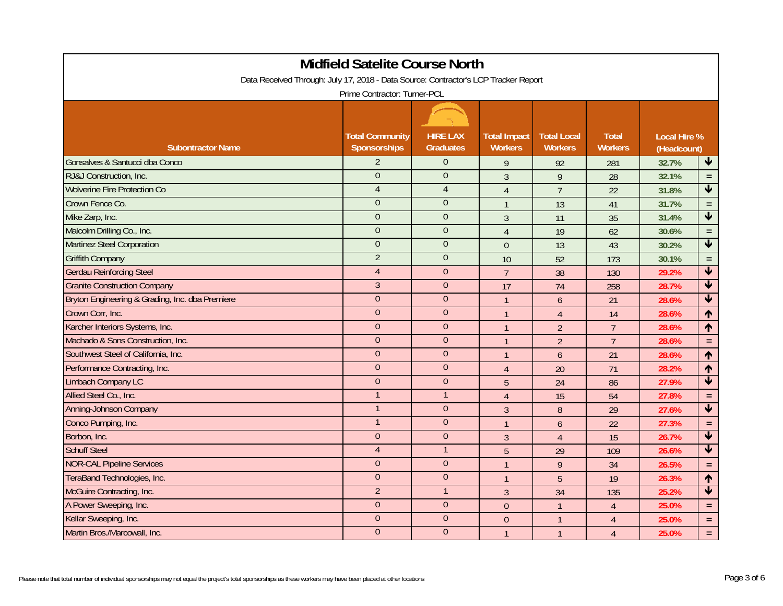| <b>Midfield Satelite Course North</b>                                               |                                               |                                     |                                       |                                      |                                |                                    |                         |  |  |
|-------------------------------------------------------------------------------------|-----------------------------------------------|-------------------------------------|---------------------------------------|--------------------------------------|--------------------------------|------------------------------------|-------------------------|--|--|
| Data Received Through: July 17, 2018 - Data Source: Contractor's LCP Tracker Report |                                               |                                     |                                       |                                      |                                |                                    |                         |  |  |
| Prime Contractor: Turner-PCL                                                        |                                               |                                     |                                       |                                      |                                |                                    |                         |  |  |
|                                                                                     |                                               |                                     |                                       |                                      |                                |                                    |                         |  |  |
| <b>Subontractor Name</b>                                                            | <b>Total Community</b><br><b>Sponsorships</b> | <b>HIRE LAX</b><br><b>Graduates</b> | <b>Total Impact</b><br><b>Workers</b> | <b>Total Local</b><br><b>Workers</b> | <b>Total</b><br><b>Workers</b> | <b>Local Hire %</b><br>(Headcount) |                         |  |  |
| Gonsalves & Santucci dba Conco                                                      | $\overline{2}$                                | $\mathbf{0}$                        | 9                                     | 92                                   | 281                            | 32.7%                              | $\blacklozenge$         |  |  |
| RJ&J Construction, Inc.                                                             | $\overline{0}$                                | $\overline{0}$                      | $\overline{3}$                        | 9                                    | 28                             | 32.1%                              | $\equiv$                |  |  |
| <b>Wolverine Fire Protection Co</b>                                                 | $\overline{4}$                                | $\overline{4}$                      | $\overline{4}$                        | $\overline{7}$                       | 22                             | 31.8%                              | $\blacktriangledown$    |  |  |
| Crown Fence Co.                                                                     | $\overline{0}$                                | $\theta$                            | $\overline{1}$                        | 13                                   | 41                             | 31.7%                              | $\equiv$                |  |  |
| Mike Zarp, Inc.                                                                     | $\overline{0}$                                | $\overline{0}$                      | $\mathfrak{Z}$                        | 11                                   | 35                             | 31.4%                              | $\blacklozenge$         |  |  |
| Malcolm Drilling Co., Inc.                                                          | $\overline{0}$                                | $\theta$                            | $\overline{4}$                        | 19                                   | 62                             | 30.6%                              | $\equiv$                |  |  |
| <b>Martinez Steel Corporation</b>                                                   | $\Omega$                                      | $\overline{0}$                      | $\overline{0}$                        | 13                                   | 43                             | 30.2%                              | $\blacklozenge$         |  |  |
| <b>Griffith Company</b>                                                             | $\overline{2}$                                | $\Omega$                            | 10                                    | 52                                   | 173                            | 30.1%                              | $\equiv$                |  |  |
| <b>Gerdau Reinforcing Steel</b>                                                     | $\overline{4}$                                | $\overline{0}$                      | $\overline{7}$                        | 38                                   | 130                            | 29.2%                              | $\overline{\textbf{t}}$ |  |  |
| <b>Granite Construction Company</b>                                                 | $\mathfrak{Z}$                                | $\theta$                            | 17                                    | 74                                   | 258                            | 28.7%                              | $\overline{\textbf{v}}$ |  |  |
| Bryton Engineering & Grading, Inc. dba Premiere                                     | $\overline{0}$                                | $\Omega$                            | $\overline{1}$                        | 6                                    | 21                             | 28.6%                              | $\overline{\textbf{v}}$ |  |  |
| Crown Corr, Inc.                                                                    | $\overline{0}$                                | $\theta$                            | $\mathbf{1}$                          | $\overline{4}$                       | 14                             | 28.6%                              | ↑                       |  |  |
| Karcher Interiors Systems, Inc.                                                     | $\overline{0}$                                | $\overline{0}$                      | $\mathbf{1}$                          | $\overline{2}$                       | $\overline{7}$                 | 28.6%                              | ↑                       |  |  |
| Machado & Sons Construction, Inc.                                                   | $\overline{0}$                                | $\overline{0}$                      | $\overline{1}$                        | $\overline{2}$                       | $\overline{7}$                 | 28.6%                              | $\equiv$                |  |  |
| Southwest Steel of California, Inc.                                                 | $\boldsymbol{0}$                              | $\boldsymbol{0}$                    | $\mathbf{1}$                          | 6                                    | 21                             | 28.6%                              | $\uparrow$              |  |  |
| Performance Contracting, Inc.                                                       | $\overline{0}$                                | $\theta$                            | $\overline{4}$                        | 20                                   | 71                             | 28.2%                              | $\uparrow$              |  |  |
| <b>Limbach Company LC</b>                                                           | $\overline{0}$                                | $\overline{0}$                      | 5                                     | 24                                   | 86                             | 27.9%                              | $\overline{\textbf{t}}$ |  |  |
| Allied Steel Co., Inc.                                                              |                                               | $\overline{1}$                      | $\overline{4}$                        | 15                                   | 54                             | 27.8%                              | $\equiv$                |  |  |
| <b>Anning-Johnson Company</b>                                                       | $\mathbf{1}$                                  | $\overline{0}$                      | $\overline{3}$                        | 8                                    | 29                             | 27.6%                              | $\overline{\textbf{t}}$ |  |  |
| Conco Pumping, Inc.                                                                 | $\mathbf{1}$                                  | $\Omega$                            | $\mathbf{1}$                          | $\overline{6}$                       | 22                             | 27.3%                              | $\equiv$                |  |  |
| Borbon, Inc.                                                                        | $\overline{0}$                                | $\overline{0}$                      | $\overline{3}$                        | $\overline{4}$                       | 15                             | 26.7%                              | $\overline{\textbf{v}}$ |  |  |
| <b>Schuff Steel</b>                                                                 | $\overline{4}$                                | $\mathbf{1}$                        | 5                                     | 29                                   | 109                            | 26.6%                              | $\blacklozenge$         |  |  |
| <b>NOR-CAL Pipeline Services</b>                                                    | $\overline{0}$                                | $\boldsymbol{0}$                    | $\overline{1}$                        | $\overline{9}$                       | 34                             | 26.5%                              | $\equiv$                |  |  |
| TeraBand Technologies, Inc.                                                         | $\overline{0}$                                | $\overline{0}$                      | $\mathbf{1}$                          | 5                                    | 19                             | 26.3%                              | $\uparrow$              |  |  |
| McGuire Contracting, Inc.                                                           | $\overline{2}$                                | $\mathbf{1}$                        | $\mathfrak{Z}$                        | 34                                   | 135                            | 25.2%                              | $\overline{\textbf{v}}$ |  |  |
| A Power Sweeping, Inc.                                                              | $\overline{0}$                                | $\theta$                            | $\overline{0}$                        | $\mathbf{1}$                         | $\overline{4}$                 | 25.0%                              | $\equiv$                |  |  |
| Kellar Sweeping, Inc.                                                               | $\overline{0}$                                | $\theta$                            | $\theta$                              | $\mathbf{1}$                         | $\overline{4}$                 | 25.0%                              | $\equiv$                |  |  |
| Martin Bros./Marcowall, Inc.                                                        | $\overline{0}$                                | $\overline{0}$                      | $\overline{1}$                        | $\mathbf{1}$                         | $\overline{4}$                 | 25.0%                              | $\equiv$                |  |  |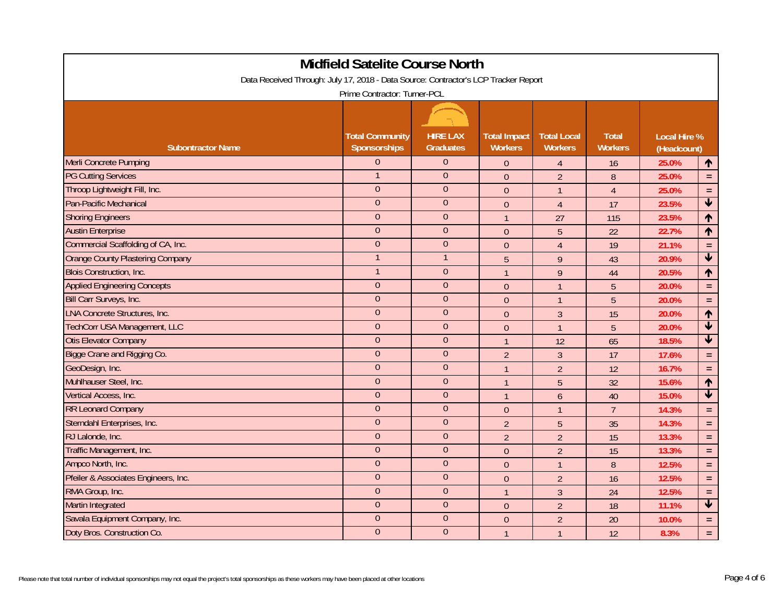| Midfield Satelite Course North                                                      |                                               |                                     |                                       |                                      |                                |                                    |                         |  |  |
|-------------------------------------------------------------------------------------|-----------------------------------------------|-------------------------------------|---------------------------------------|--------------------------------------|--------------------------------|------------------------------------|-------------------------|--|--|
| Data Received Through: July 17, 2018 - Data Source: Contractor's LCP Tracker Report |                                               |                                     |                                       |                                      |                                |                                    |                         |  |  |
| Prime Contractor: Turner-PCL                                                        |                                               |                                     |                                       |                                      |                                |                                    |                         |  |  |
|                                                                                     |                                               |                                     |                                       |                                      |                                |                                    |                         |  |  |
| <b>Subontractor Name</b>                                                            | <b>Total Community</b><br><b>Sponsorships</b> | <b>HIRE LAX</b><br><b>Graduates</b> | <b>Total Impact</b><br><b>Workers</b> | <b>Total Local</b><br><b>Workers</b> | <b>Total</b><br><b>Workers</b> | <b>Local Hire %</b><br>(Headcount) |                         |  |  |
| <b>Merli Concrete Pumping</b>                                                       | $\Omega$                                      | $\Omega$                            | $\overline{0}$                        | $\overline{4}$                       | 16                             | 25.0%                              | $\blacklozenge$         |  |  |
| <b>PG Cutting Services</b>                                                          |                                               | $\Omega$                            | $\overline{0}$                        | $\overline{2}$                       | 8                              | 25.0%                              | $\equiv$                |  |  |
| Throop Lightweight Fill, Inc.                                                       | $\overline{0}$                                | $\theta$                            | $\overline{0}$                        | $\mathbf{1}$                         | $\overline{4}$                 | 25.0%                              | $\equiv$                |  |  |
| <b>Pan-Pacific Mechanical</b>                                                       | $\theta$                                      | $\overline{0}$                      | $\theta$                              | $\overline{4}$                       | 17                             | 23.5%                              | $\blacktriangledown$    |  |  |
| <b>Shoring Engineers</b>                                                            | $\overline{0}$                                | $\overline{0}$                      | $\mathbf{1}$                          | 27                                   | 115                            | 23.5%                              | $\uparrow$              |  |  |
| <b>Austin Enterprise</b>                                                            | $\Omega$                                      | $\Omega$                            | $\theta$                              | 5                                    | 22                             | 22.7%                              | ↑                       |  |  |
| Commercial Scaffolding of CA, Inc.                                                  | $\overline{0}$                                | $\theta$                            | $\overline{0}$                        | $\overline{4}$                       | 19                             | 21.1%                              | $\equiv$                |  |  |
| <b>Orange County Plastering Company</b>                                             |                                               | $\mathbf{1}$                        | 5                                     | 9                                    | 43                             | 20.9%                              | $\overline{\textbf{v}}$ |  |  |
| <b>Blois Construction, Inc.</b>                                                     |                                               | $\overline{0}$                      | $\overline{1}$                        | 9                                    | 44                             | 20.5%                              | $\uparrow$              |  |  |
| <b>Applied Engineering Concepts</b>                                                 | $\Omega$                                      | $\Omega$                            | $\mathbf{0}$                          | $\mathbf{1}$                         | 5                              | 20.0%                              | $\equiv$                |  |  |
| Bill Carr Surveys, Inc.                                                             | $\overline{0}$                                | $\theta$                            | $\theta$                              | $\mathbf{1}$                         | 5                              | 20.0%                              | $\equiv$                |  |  |
| <b>LNA Concrete Structures, Inc.</b>                                                | $\overline{0}$                                | $\overline{0}$                      | $\overline{0}$                        | $\mathfrak{Z}$                       | 15                             | 20.0%                              | ↑                       |  |  |
| <b>TechCorr USA Management, LLC</b>                                                 | $\theta$                                      | $\overline{0}$                      | $\theta$                              | $\mathbf{1}$                         | 5                              | 20.0%                              | $\overline{\textbf{t}}$ |  |  |
| <b>Otis Elevator Company</b>                                                        | $\boldsymbol{0}$                              | $\boldsymbol{0}$                    | $\mathbf{1}$                          | 12                                   | 65                             | 18.5%                              | $\overline{\textbf{t}}$ |  |  |
| Bigge Crane and Rigging Co.                                                         | $\overline{0}$                                | $\theta$                            | $\overline{2}$                        | $\overline{3}$                       | 17                             | 17.6%                              | $\equiv$                |  |  |
| GeoDesign, Inc.                                                                     | $\overline{0}$                                | $\overline{0}$                      | $\mathbf{1}$                          | $\overline{2}$                       | 12                             | 16.7%                              | $\equiv$                |  |  |
| Muhlhauser Steel, Inc.                                                              | $\Omega$                                      | $\theta$                            | $\overline{1}$                        | 5                                    | 32                             | 15.6%                              | $\uparrow$              |  |  |
| Vertical Access, Inc.                                                               | $\overline{0}$                                | $\theta$                            | $\mathbf{1}$                          | 6                                    | 40                             | 15.0%                              | $\overline{\mathbf{t}}$ |  |  |
| <b>RR Leonard Company</b>                                                           | $\overline{0}$                                | $\overline{0}$                      | $\overline{0}$                        | $\mathbf{1}$                         | $\overline{7}$                 | 14.3%                              | $\equiv$                |  |  |
| Sterndahl Enterprises, Inc.                                                         | $\overline{0}$                                | $\overline{0}$                      | $\overline{2}$                        | $\overline{5}$                       | 35                             | 14.3%                              | $\equiv$                |  |  |
| RJ Lalonde, Inc.                                                                    | $\Omega$                                      | $\theta$                            | $\overline{2}$                        | $\overline{2}$                       | 15                             | 13.3%                              | $\equiv$                |  |  |
| Traffic Management, Inc.                                                            | $\overline{0}$                                | $\mathbf{0}$                        | $\theta$                              | $\overline{2}$                       | 15                             | 13.3%                              | $\equiv$                |  |  |
| Ampco North, Inc.                                                                   | $\overline{0}$                                | $\overline{0}$                      | $\mathbf{0}$                          | $\mathbf{1}$                         | $\boldsymbol{8}$               | 12.5%                              | $\equiv$                |  |  |
| Pfeiler & Associates Engineers, Inc.                                                | $\overline{0}$                                | $\overline{0}$                      | $\theta$                              | $\overline{2}$                       | 16                             | 12.5%                              | $\equiv$                |  |  |
| RMA Group, Inc.                                                                     | $\Omega$                                      | $\Omega$                            | $\mathbf{1}$                          | 3                                    | 24                             | 12.5%                              | $\equiv$                |  |  |
| Martin Integrated                                                                   | $\Omega$                                      | $\theta$                            | $\overline{0}$                        | $\overline{2}$                       | 18                             | 11.1%                              | $\overline{\textbf{t}}$ |  |  |
| Savala Equipment Company, Inc.                                                      | $\overline{0}$                                | $\theta$                            | $\theta$                              | $\overline{2}$                       | 20                             | 10.0%                              | $\equiv$                |  |  |
| Doty Bros. Construction Co.                                                         | $\overline{0}$                                | $\overline{0}$                      | $\overline{1}$                        | $\mathbf{1}$                         | 12                             | 8.3%                               | $\equiv$                |  |  |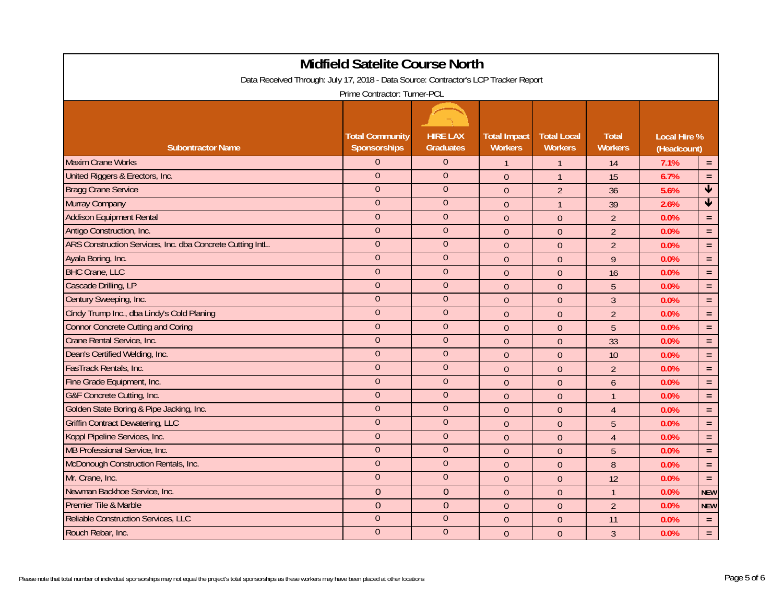|                                                                                     | Midfield Satelite Course North         |                                     |                                       |                                      |                                |                                    |                      |  |  |
|-------------------------------------------------------------------------------------|----------------------------------------|-------------------------------------|---------------------------------------|--------------------------------------|--------------------------------|------------------------------------|----------------------|--|--|
| Data Received Through: July 17, 2018 - Data Source: Contractor's LCP Tracker Report |                                        |                                     |                                       |                                      |                                |                                    |                      |  |  |
| Prime Contractor: Turner-PCL                                                        |                                        |                                     |                                       |                                      |                                |                                    |                      |  |  |
|                                                                                     |                                        |                                     |                                       |                                      |                                |                                    |                      |  |  |
| <b>Subontractor Name</b>                                                            | <b>Total Community</b><br>Sponsorships | <b>HIRE LAX</b><br><b>Graduates</b> | <b>Total Impact</b><br><b>Workers</b> | <b>Total Local</b><br><b>Workers</b> | <b>Total</b><br><b>Workers</b> | <b>Local Hire %</b><br>(Headcount) |                      |  |  |
| <b>Maxim Crane Works</b>                                                            | $\Omega$                               | $\theta$                            | $\mathbf{1}$                          | $\mathbf{1}$                         | 14                             | 7.1%                               | $=$                  |  |  |
| United Riggers & Erectors, Inc.                                                     | $\overline{0}$                         | $\overline{0}$                      | $\overline{0}$                        | $\mathbf{1}$                         | 15                             | 6.7%                               | $\equiv$             |  |  |
| <b>Bragg Crane Service</b>                                                          | $\Omega$                               | $\theta$                            | $\theta$                              | $\overline{2}$                       | 36                             | 5.6%                               | $\blacklozenge$      |  |  |
| <b>Murray Company</b>                                                               | $\overline{0}$                         | $\overline{0}$                      | $\mathbf{0}$                          | $\mathbf{1}$                         | 39                             | 2.6%                               | $\blacktriangledown$ |  |  |
| <b>Addison Equipment Rental</b>                                                     | $\overline{0}$                         | $\theta$                            | $\theta$                              | $\theta$                             | $\overline{2}$                 | 0.0%                               | $\equiv$             |  |  |
| Antigo Construction, Inc.                                                           | $\Omega$                               | $\theta$                            | $\mathbf{0}$                          | $\theta$                             | $\overline{2}$                 | 0.0%                               | $\equiv$             |  |  |
| ARS Construction Services, Inc. dba Concrete Cutting IntL.                          | $\Omega$                               | $\theta$                            | $\mathbf{0}$                          | $\theta$                             | $\overline{2}$                 | 0.0%                               | $\equiv$             |  |  |
| Ayala Boring, Inc.                                                                  | $\overline{0}$                         | $\theta$                            | $\overline{0}$                        | $\overline{0}$                       | 9                              | 0.0%                               | $\equiv$             |  |  |
| <b>BHC Crane, LLC</b>                                                               | $\overline{0}$                         | $\overline{0}$                      | $\overline{0}$                        | $\theta$                             | 16                             | 0.0%                               | $\equiv$             |  |  |
| Cascade Drilling, LP                                                                | $\overline{0}$                         | $\Omega$                            | $\mathbf{0}$                          | $\theta$                             | 5                              | 0.0%                               | $=$                  |  |  |
| Century Sweeping, Inc.                                                              | $\Omega$                               | $\theta$                            | $\mathbf{0}$                          | $\overline{0}$                       | $\overline{3}$                 | 0.0%                               | $\equiv$             |  |  |
| Cindy Trump Inc., dba Lindy's Cold Planing                                          | $\overline{0}$                         | $\theta$                            | $\theta$                              | $\theta$                             | $\overline{2}$                 | 0.0%                               | $\equiv$             |  |  |
| <b>Connor Concrete Cutting and Coring</b>                                           | $\overline{0}$                         | $\overline{0}$                      | $\overline{0}$                        | $\theta$                             | 5                              | 0.0%                               | $\equiv$             |  |  |
| Crane Rental Service, Inc.                                                          | $\overline{0}$                         | $\overline{0}$                      | $\boldsymbol{0}$                      | $\boldsymbol{0}$                     | 33                             | 0.0%                               | $\equiv$             |  |  |
| Dean's Certified Welding, Inc.                                                      | $\overline{0}$                         | $\theta$                            | $\mathbf{0}$                          | $\theta$                             | 10                             | 0.0%                               | $\equiv$             |  |  |
| FasTrack Rentals, Inc.                                                              | $\overline{0}$                         | $\theta$                            | $\overline{0}$                        | $\overline{0}$                       | $\overline{2}$                 | 0.0%                               | $\equiv$             |  |  |
| Fine Grade Equipment, Inc.                                                          | $\overline{0}$                         | $\theta$                            | $\overline{0}$                        | $\overline{0}$                       | $\overline{6}$                 | 0.0%                               | $\equiv$             |  |  |
| G&F Concrete Cutting, Inc.                                                          | $\overline{0}$                         | $\overline{0}$                      | $\overline{0}$                        | $\overline{0}$                       | $\overline{1}$                 | 0.0%                               | $\equiv$             |  |  |
| Golden State Boring & Pipe Jacking, Inc.                                            | $\overline{0}$                         | $\overline{0}$                      | $\mathbf{0}$                          | $\theta$                             | $\overline{4}$                 | 0.0%                               | $\equiv$             |  |  |
| <b>Griffin Contract Dewatering, LLC</b>                                             | $\Omega$                               | $\theta$                            | $\mathbf{0}$                          | $\theta$                             | 5                              | 0.0%                               | $\equiv$             |  |  |
| Koppl Pipeline Services, Inc.                                                       | $\overline{0}$                         | $\mathbf{0}$                        | $\overline{0}$                        | $\theta$                             | $\overline{4}$                 | 0.0%                               | $\equiv$             |  |  |
| MB Professional Service, Inc.                                                       | $\overline{0}$                         | $\overline{0}$                      | $\theta$                              | $\theta$                             | 5                              | 0.0%                               | $\equiv$             |  |  |
| McDonough Construction Rentals, Inc.                                                | $\overline{0}$                         | $\overline{0}$                      | $\mathbf{0}$                          | $\boldsymbol{0}$                     | $\boldsymbol{8}$               | 0.0%                               | $\equiv$             |  |  |
| Mr. Crane, Inc.                                                                     | $\Omega$                               | $\theta$                            | $\mathbf{0}$                          | $\theta$                             | 12                             | 0.0%                               | $\equiv$             |  |  |
| Newman Backhoe Service, Inc.                                                        | $\overline{0}$                         | $\overline{0}$                      | $\overline{0}$                        | $\overline{0}$                       | $\mathbf{1}$                   | 0.0%                               | <b>NEW</b>           |  |  |
| Premier Tile & Marble                                                               | $\overline{0}$                         | $\overline{0}$                      | $\theta$                              | $\theta$                             | $\overline{2}$                 | 0.0%                               | <b>NEW</b>           |  |  |
| Reliable Construction Services, LLC                                                 | $\overline{0}$                         | $\overline{0}$                      | $\overline{0}$                        | $\theta$                             | 11                             | 0.0%                               | $\equiv$             |  |  |
| Rouch Rebar, Inc.                                                                   | $\overline{0}$                         | $\overline{0}$                      | $\mathbf{0}$                          | $\theta$                             | $\mathfrak{Z}$                 | 0.0%                               | $\equiv$             |  |  |